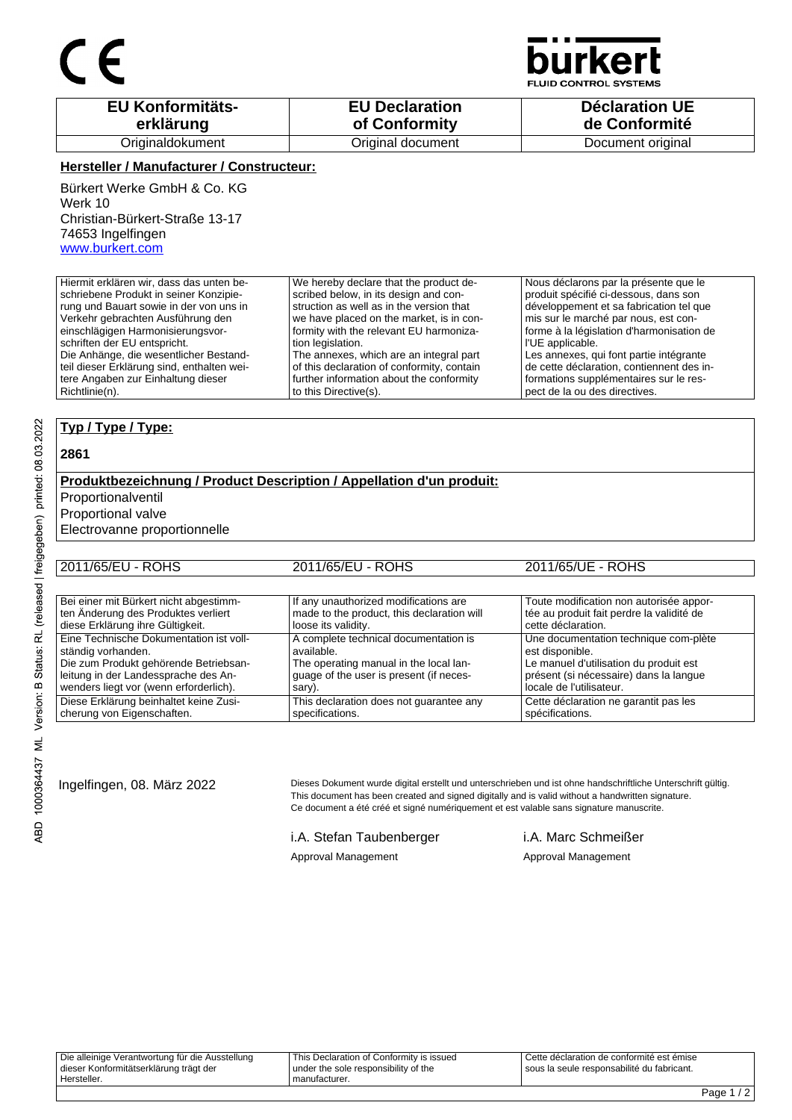

CONTROL SYSTEMS

| <b>EU Konformitäts-</b> | <b>EU Declaration</b> | <b>Déclaration UE</b> |
|-------------------------|-----------------------|-----------------------|
| erklärung               | of Conformity         | de Conformité         |
| Originaldokument        | Original document     | Document original     |

#### **Hersteller / Manufacturer / Constructeur:**

Bürkert Werke GmbH & Co. KG Werk 10 Christian-Bürkert-Straße 13-17 74653 Ingelfingen www.burkert.com

Hiermit erklären wir, dass das unten beschriebene Produkt in seiner Konzipierung und Bauart sowie in der von uns in Verkehr gebrachten Ausführung den einschlägigen Harmonisierungsvorschriften der EU entspricht. Die Anhänge, die wesentlicher Bestandteil dieser Erklärung sind, enthalten weitere Angaben zur Einhaltung dieser Richtlinie(n). We hereby declare that the product described below, in its design and construction as well as in the version that we have placed on the market, is in conformity with the relevant EU harmonization legislation. The annexes, which are an integral part of this declaration of conformity, contain further information about the conformity to this Directive(s). Nous déclarons par la présente que le produit spécifié ci-dessous, dans son développement et sa fabrication tel que mis sur le marché par nous, est conforme à la législation d'harmonisation de l'UE applicable. Les annexes, qui font partie intégrante de cette déclaration, contiennent des informations supplémentaires sur le respect de la ou des directives.

#### **Typ / Type / Type:**

#### **2861**

#### **Produktbezeichnung / Product Description / Appellation d'un produit:**

Proportionalventil

Proportional valve

Electrovanne proportionnelle

| 2011/65/EU - ROHS                       | 2011/65/EU - ROHS                          | 2011/65/UE - ROHS                         |
|-----------------------------------------|--------------------------------------------|-------------------------------------------|
|                                         |                                            |                                           |
| Bei einer mit Bürkert nicht abgestimm-  | If any unauthorized modifications are      | Toute modification non autorisée appor-   |
| ten Änderung des Produktes verliert     | made to the product, this declaration will | tée au produit fait perdre la validité de |
| diese Erklärung ihre Gültigkeit.        | loose its validity.                        | cette déclaration.                        |
| Eine Technische Dokumentation ist voll- | A complete technical documentation is      | Une documentation technique com-plète     |
| ständig vorhanden.                      | available.                                 | est disponible.                           |
| Die zum Produkt gehörende Betriebsan-   | The operating manual in the local lan-     | Le manuel d'utilisation du produit est    |
| leitung in der Landessprache des An-    | quage of the user is present (if neces-    | présent (si nécessaire) dans la langue    |
| wenders liegt vor (wenn erforderlich).  | sary).                                     | locale de l'utilisateur.                  |
| Diese Erklärung beinhaltet keine Zusi-  | This declaration does not guarantee any    | Cette déclaration ne garantit pas les     |
| cherung von Eigenschaften.              | specifications.                            | spécifications.                           |

Ingelfingen, 08. März 2022 Dieses Dokument wurde digital erstellt und unterschrieben und ist ohne handschriftliche Unterschrift gültig. This document has been created and signed digitally and is valid without a handwritten signature. Ce document a été créé et signé numériquement et est valable sans signature manuscrite.

i.A. Stefan Taubenberger i.A. Marc Schmeißer

### Approval Management **Approval Management** Approval Management

ABD 1000364437 ML Version: B Status: RL (released | freigegeben) printed: 08.03.2022

Die alleinige Verantwortung für die Ausstellung dieser Konformitätserklärung trägt der Hersteller.